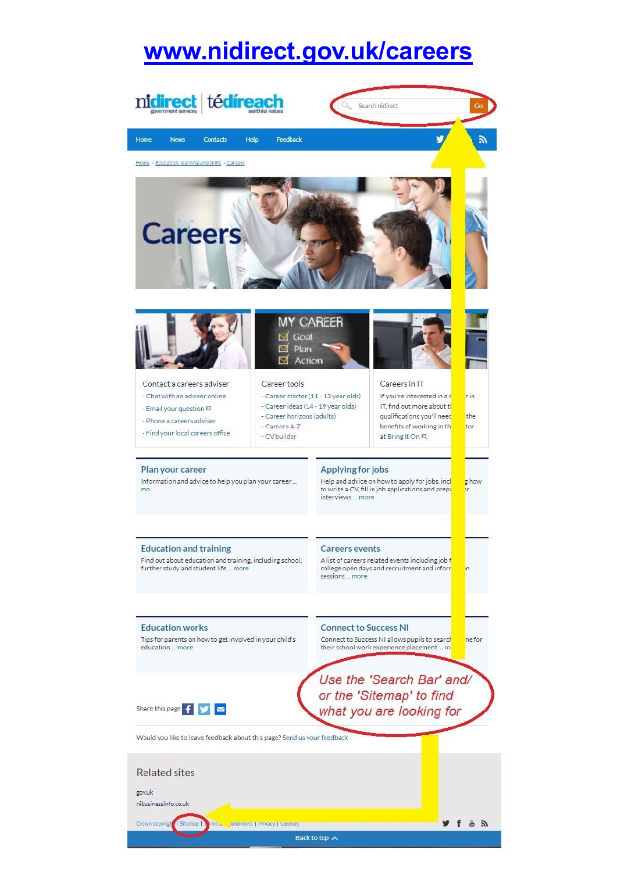### **[www.nidirect.gov.uk/careers](http://www.nidirect.gov.uk/careers)**

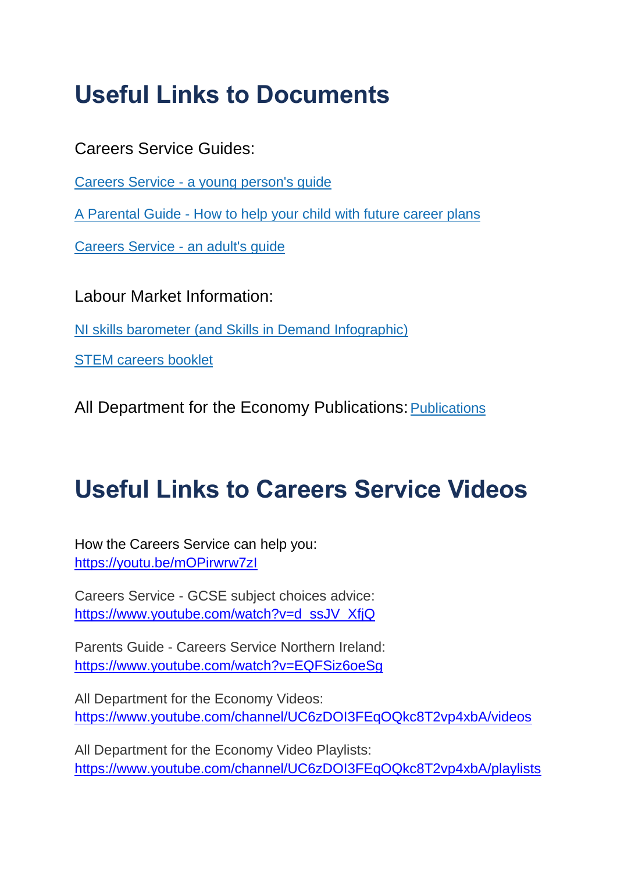# **Useful Links to Documents**

Careers Service Guides:

Careers Service - [a young person's guide](https://www.economy-ni.gov.uk/publications/careers-service-young-persons-guide)

A Parental Guide - [How to help your child with future career plans](https://www.economy-ni.gov.uk/publications/parental-guide-how-help-your-child-future-career-plans)

[Careers Service -](https://www.economy-ni.gov.uk/publications/careers-service-adults-guide) an adult's guide

Labour Market Information:

[NI skills barometer](http://www.economy-ni.gov.uk/publications/ni-skills-barometer) (and Skills in Demand Infographic)

[STEM careers booklet](https://www.nidirect.gov.uk/publications/stem-careers-booklet)

All Department for the Economy [Publications](https://www.economy-ni.gov.uk/publications): Publications

## **Useful Links to Careers Service Videos**

How the Careers Service can help you: <https://youtu.be/mOPirwrw7zI>

Careers Service - GCSE subject choices advice: [https://www.youtube.com/watch?v=d\\_ssJV\\_XfjQ](https://www.youtube.com/watch?v=d_ssJV_XfjQ)

Parents Guide - Careers Service Northern Ireland: <https://www.youtube.com/watch?v=EQFSiz6oeSg>

All Department for the Economy Videos: <https://www.youtube.com/channel/UC6zDOI3FEqOQkc8T2vp4xbA/videos>

All Department for the Economy Video Playlists: <https://www.youtube.com/channel/UC6zDOI3FEqOQkc8T2vp4xbA/playlists>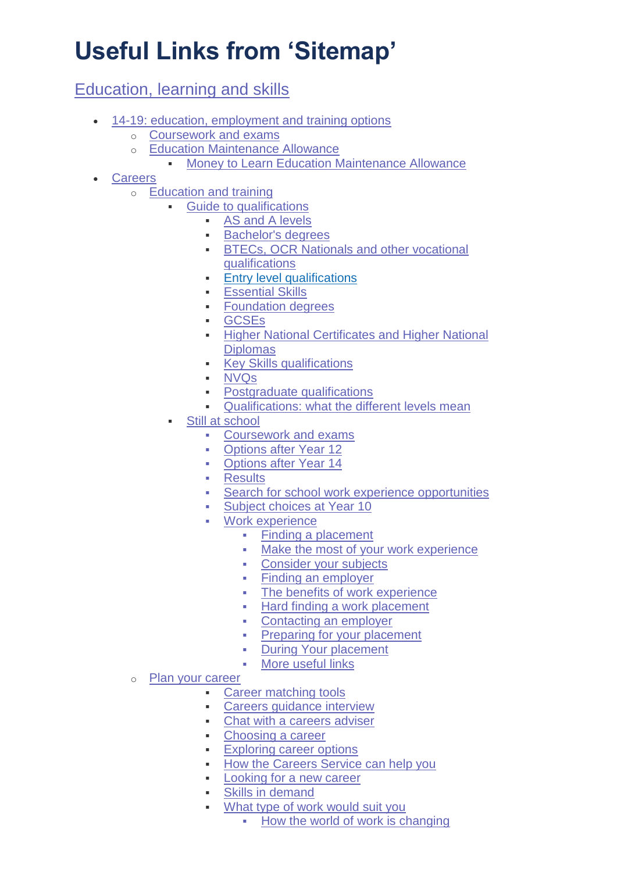# **Useful Links from 'Sitemap'**

[Education, learning and skills](https://www.nidirect.gov.uk/information-and-services/education-learning-and-skills)

- [14-19: education, employment and training options](https://www.nidirect.gov.uk/information-and-services/education-learning-and-skills/14-19-education-employment-and-training-options)
	- o [Coursework and exams](https://www.nidirect.gov.uk/information-and-services/14-19-education-employment-and-training-options/coursework-and-exams)
	- o [Education Maintenance Allowance](https://www.nidirect.gov.uk/information-and-services/14-19-education-employment-and-training-options/education-maintenance-allowance)
		- [Money to Learn Education Maintenance Allowance](https://www.nidirect.gov.uk/information-and-services/education-maintenance-allowance/money-learn-education-maintenance-allowance)
- [Careers](https://www.nidirect.gov.uk/information-and-services/education-learning-and-skills/careers)
	- o [Education and training](https://www.nidirect.gov.uk/information-and-services/careers/education-and-training)
		- [Guide to qualifications](https://www.nidirect.gov.uk/information-and-services/education-and-training/guide-qualifications)
			- [AS and A levels](https://www.nidirect.gov.uk/articles/as-and-a-levels)
			- **[Bachelor's degrees](https://www.nidirect.gov.uk/articles/bachelors-degrees)**
			- **[BTECs, OCR Nationals](https://www.nidirect.gov.uk/articles/btecs-ocr-nationals-and-other-vocational-qualifications) and other vocational** [qualifications](https://www.nidirect.gov.uk/articles/btecs-ocr-nationals-and-other-vocational-qualifications)
			- **[Entry level qualifications](https://www.nidirect.gov.uk/articles/entry-level-qualifications)**
			- **[Essential Skills](https://www.nidirect.gov.uk/articles/essential-skills)**
			- **[Foundation degrees](https://www.nidirect.gov.uk/information-and-services/guide-qualifications/foundation-degrees)**
			- [GCSEs](https://www.nidirect.gov.uk/articles/gcses)
			- **Higher National Certificates and Higher National [Diplomas](https://www.nidirect.gov.uk/articles/higher-national-certificates-and-higher-national-diplomas)**
			- **[Key Skills qualifications](https://www.nidirect.gov.uk/articles/key-skills-qualifications)**
			- [NVQs](https://www.nidirect.gov.uk/articles/nvqs)
			- **•** [Postgraduate qualifications](https://www.nidirect.gov.uk/articles/postgraduate-qualifications)
			- **[Qualifications: what the different levels mean](https://www.nidirect.gov.uk/articles/qualifications-what-different-levels-mean)**
			- [Still at school](https://www.nidirect.gov.uk/information-and-services/education-and-training/still-school)
				- [Coursework and exams](https://www.nidirect.gov.uk/information-and-services/14-19-education-employment-and-training-options/coursework-and-exams)
				- [Options after Year 12](https://www.nidirect.gov.uk/articles/options-after-year-12)
				- [Options after Year 14](https://www.nidirect.gov.uk/articles/options-after-year-14)
				- **[Results](https://www.nidirect.gov.uk/campaigns/results)**
				- [Search for school work experience opportunities](https://www.nidirect.gov.uk/services/search-school-work-experience-opportunities)
				- [Subject choices at Year 10](https://www.nidirect.gov.uk/articles/subject-choices-year-10)
				- [Work experience](https://www.nidirect.gov.uk/articles/work-experience)
					- Finding a placement
					- **Make the most of your work experience**
					- **Consider your subjects**
					- Finding an employer
					- The benefits of work experience
					- Hard finding a work placement
					- Contacting an employer
					- **Preparing for your placement**
					- **-** During Your placement
					- More useful links
	- o [Plan your career](https://www.nidirect.gov.uk/information-and-services/careers/plan-your-career)
		- [Career matching tools](https://www.nidirect.gov.uk/articles/career-matching-tools)
		- [Careers guidance interview](https://www.nidirect.gov.uk/articles/careers-guidance-interview)
		- [Chat with a careers adviser](https://www.nidirect.gov.uk/services/chat-with-a-careers-adviser)
		- [Choosing a career](https://www.nidirect.gov.uk/articles/choosing-career)
		- **[Exploring career options](https://www.nidirect.gov.uk/articles/exploring-career-options)**
		- **[How the Careers Service can help you](https://www.nidirect.gov.uk/articles/how-careers-service-can-help-you)**
		- **[Looking for a new career](https://www.nidirect.gov.uk/information-and-services/plan-your-career/looking-new-career)**
		- [Skills in demand](https://www.nidirect.gov.uk/articles/skills-demand)
		- [What type of work would suit you](https://www.nidirect.gov.uk/articles/what-type-work-would-suit-you)
			- [How the world of work is changing](https://www.nidirect.gov.uk/articles/what-type-work-would-suit-you#toc-0)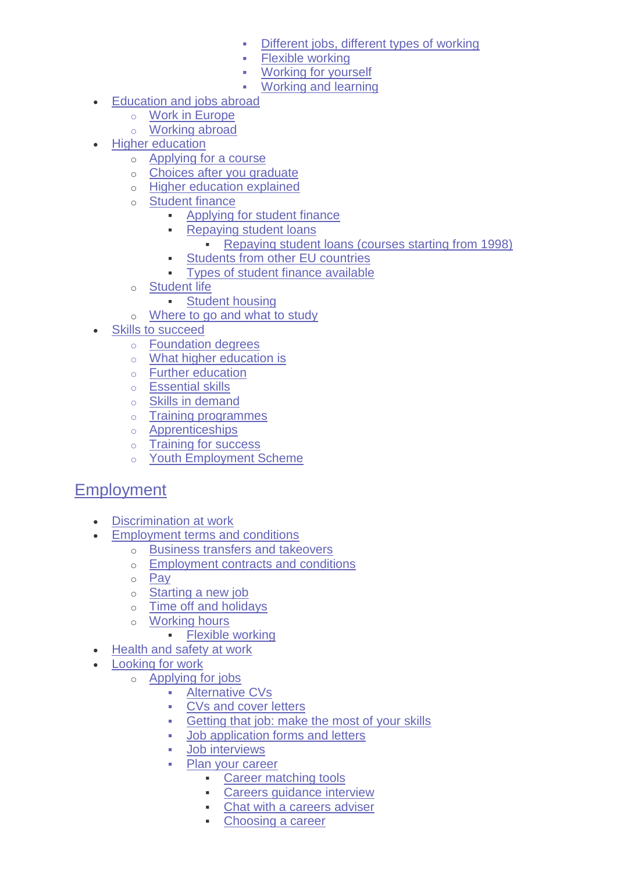- [Different jobs, different types of working](https://www.nidirect.gov.uk/articles/what-type-work-would-suit-you#toc-1)
- [Flexible working](https://www.nidirect.gov.uk/articles/what-type-work-would-suit-you#toc-2)
- [Working for yourself](https://www.nidirect.gov.uk/articles/what-type-work-would-suit-you#toc-3)
- [Working and learning](https://www.nidirect.gov.uk/articles/what-type-work-would-suit-you#toc-4)
- [Education and jobs abroad](https://www.nidirect.gov.uk/information-and-services/education-learning-and-skills/education-and-jobs-abroad)
	- o Work in Europe
	- o Working abroad
- **[Higher education](https://www.nidirect.gov.uk/information-and-services/education-learning-and-skills/higher-education)** 
	- o [Applying for a course](https://www.nidirect.gov.uk/information-and-services/higher-education/applying-course)
	- o [Choices after you graduate](https://www.nidirect.gov.uk/information-and-services/higher-education/choices-after-you-graduate)
	- o [Higher education explained](https://www.nidirect.gov.uk/information-and-services/higher-education/higher-education-explained)
	- o [Student finance](https://www.nidirect.gov.uk/information-and-services/higher-education/student-finance)
		- [Applying for student finance](https://www.nidirect.gov.uk/information-and-services/student-finance/applying-student-finance)
			- **[Repaying student loans](https://www.nidirect.gov.uk/information-and-services/student-finance/repaying-student-loans)** 
				- [Repaying student loans \(courses starting from 1998\)](https://www.nidirect.gov.uk/information-and-services/repaying-student-loans/repaying-student-loans-courses-starting-1998)
			- [Students from other EU countries](https://www.nidirect.gov.uk/information-and-services/student-finance/students-other-eu-countries)
			- [Types of student finance available](https://www.nidirect.gov.uk/information-and-services/student-finance/types-student-finance-available)
	- o [Student life](https://www.nidirect.gov.uk/information-and-services/higher-education/student-life)
		- **[Student housing](https://www.nidirect.gov.uk/information-and-services/student-life/student-housing)**
	- o [Where to go and what to study](https://www.nidirect.gov.uk/information-and-services/higher-education/where-go-and-what-study)
- [Skills to succeed](https://www.nidirect.gov.uk/information-and-services/education-learning-and-skills/skills-succeed)
	- o [Foundation degrees](https://www.nidirect.gov.uk/information-and-services/guide-qualifications/foundation-degrees)
	- o [What higher education](https://www.nidirect.gov.uk/articles/what-higher-education) is
	- o [Further education](https://www.nidirect.gov.uk/articles/further-education)
	- o [Essential skills](https://www.nidirect.gov.uk/articles/essential-skills)
	- o [Skills in demand](https://www.nidirect.gov.uk/articles/skills-demand)
	- o [Training programmes](https://www.nidirect.gov.uk/information-and-services/looking-work/training-programmes)
	- o [Apprenticeships](https://www.nidirect.gov.uk/campaigns/apprenticeships)
	- o [Training for success](https://www.nidirect.gov.uk/articles/training-success)
	- o [Youth Employment Scheme](https://www.nidirect.gov.uk/articles/youth-employment-scheme)

#### [Employment](https://www.nidirect.gov.uk/information-and-services/employment)

- [Discrimination at work](https://www.nidirect.gov.uk/information-and-services/employment/discrimination-work)
- [Employment terms and conditions](https://www.nidirect.gov.uk/information-and-services/employment/employment-terms-and-conditions)
	- o [Business transfers and](https://www.nidirect.gov.uk/information-and-services/employment-terms-and-conditions/business-transfers-and-takeovers) takeovers
	- o [Employment contracts and conditions](https://www.nidirect.gov.uk/information-and-services/employment-terms-and-conditions/employment-contracts-and-conditions)
	- o [Pay](https://www.nidirect.gov.uk/information-and-services/employment-terms-and-conditions/pay)
	- o [Starting a new job](https://www.nidirect.gov.uk/information-and-services/employment-terms-and-conditions/starting-new-job)
	- o [Time off and holidays](https://www.nidirect.gov.uk/information-and-services/employment-terms-and-conditions/time-and-holidays)
	- o [Working hours](https://www.nidirect.gov.uk/information-and-services/employment-terms-and-conditions/working-hours)
		- **[Flexible working](https://www.nidirect.gov.uk/information-and-services/working-hours/flexible-working)**
- [Health and safety at work](https://www.nidirect.gov.uk/information-and-services/employment/health-and-safety-work)
- [Looking for work](https://www.nidirect.gov.uk/information-and-services/employment/looking-work)
	- o [Applying for jobs](https://www.nidirect.gov.uk/information-and-services/looking-work/applying-jobs)
		- **-** [Alternative CVs](https://www.nidirect.gov.uk/articles/alternative-cvs)
		- **[CVs and cover letters](https://www.nidirect.gov.uk/articles/cvs-and-cover-letters)**
		- **[Getting that job: make the most of your skills](https://www.nidirect.gov.uk/articles/getting-job-make-most-your-skills)**
		- [Job application forms and letters](https://www.nidirect.gov.uk/articles/job-application-forms-and-letters)
		- [Job interviews](https://www.nidirect.gov.uk/information-and-services/applying-jobs/job-interviews)
		- [Plan your career](https://www.nidirect.gov.uk/information-and-services/careers/plan-your-career)
			- **[Career matching tools](https://www.nidirect.gov.uk/articles/career-matching-tools)**
			- **[Careers guidance interview](https://www.nidirect.gov.uk/articles/careers-guidance-interview)**
			- [Chat with a careers adviser](https://www.nidirect.gov.uk/services/chat-with-a-careers-adviser)
			- [Choosing a career](https://www.nidirect.gov.uk/articles/choosing-career)